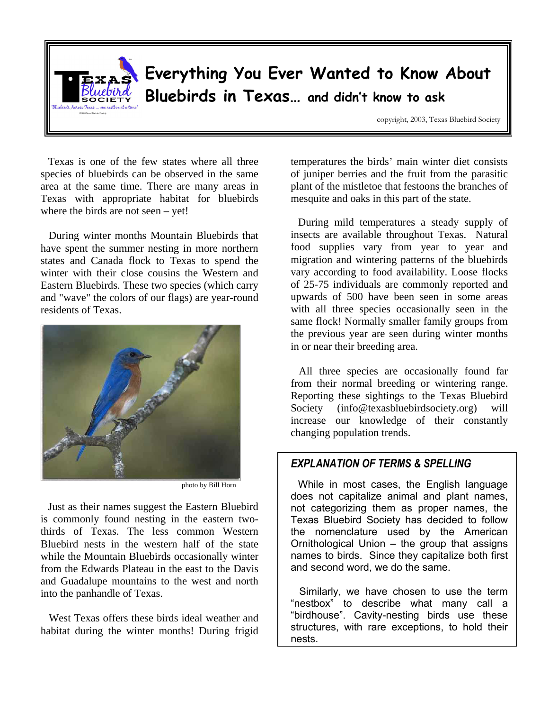

Texas is one of the few states where all three area at the same time. There are many areas in Texas with appropriate habitat for bluebirds Texas with appropriate habitat for bluebirds where the birds are not seen  $-$  yet:

During winter months Mountain Bluebirds that have spent the summer nesting in more northern states and Canada flock to Texas to spend the winter with their close cousins the Western and Eastern Bluebirds. These two species (which carry Eastern Bluebirds. These two species (which carry and "wave" the colors of our flags) are year-round residents of Texas.



photo by Bill Horn

Just as their names suggest the Eastern Bluebird thirds of Texas. The less common Western Bluebird nests in the western half of the state while the Mountain Bluebirds occasionally winter from the Edwards Plateau in the east to the Davis from the Edwards Plateau in the east to the Davis and Guadalupe mountains to the west and north into the panhandle of Texas.

West Texas offers these birds filed weather and<br>hiter during the winter member During fried habitat during the winter months! During frigid temperatures the birds' main winter diet consists plant of the mistletoe that festoons the branches of plant of the mistletoe that festoons the branches of mesquite and oaks in this part of the state.

During mild temperatures a steady supply of insects are available throughout Texas. Natural food supplies vary from year to year and migration and wintering patterns of the bluebirds vary according to food availability. Loose flocks of 25-75 individuals are commonly reported and upwards of 500 have been seen in some areas with all three species occasionally seen in the same flock! Normally smaller family groups from the previous year are seen during winter months the previous year are seen during winter months in or near their breeding area.

All three species are occasionally found far<br>from their normal breeding or wintering range. Reporting these sightings to the Texas Bluebird Society (info@texasbluebirdsociety.org) will Society (info@texasbluebirdsociety.org) will increase our knowledge of their constantly changing population trends.

#### *EXPLANATION OF TERMS & SPELLING*

While in most cases, the English language does not capitalize animal and plant names, not categorizing them as proper names, the Texas Bluebird Society has decided to follow the nomenclature used by the American Ornithological Union – the group that assigns names to birds. Since they capitalize both first and second word, we do the same.

Similarly, we have chosen to use the term "nestbox" to describe what many call a "birdhouse". Cavity-nesting birds use these structures, with rare exceptions, to hold their nests.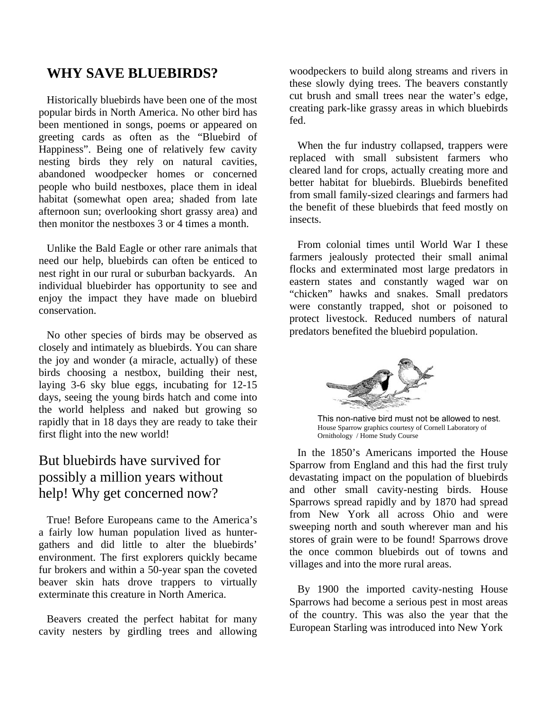### **WHY SAVE BLUEBIRDS?**

 Historically bluebirds have been one of the most been mentioned in songs, poems or appeared on greeting cards as often as the "Bluebird of Happiness". Being one of relatively few cavity nesting birds they rely on natural cavities, abandoned woodpecker homes or concerned people who build nestboxes, place them in ideal habitat (somewhat open area; shaded from late afternoon sun; overlooking short grassy area) and afternoon sun; overlooking short grassy area) and then monitor the nestboxes  $3$  or  $4$  times a month.

Unlike the Bald Eagle or other rare animals that need our help, bluebirds can often be enticed to nest right in our rural or suburban backyards. An individual bluebirder has opportunity to see and individual bluebirder has opportunity to see and enjoy the impact they have made on bluebird conservation.

No other species of birds may be observed as closely and intimately as bluebirds. You can share the joy and wonder (a miracle, actually) of these birds choosing a nestbox, building their nest, laying 3-6 sky blue eggs, incubating for  $12-15$ days, seeing the young birds hatch and come into the world helpless and naked but growing so rapidly that in 18 days they are ready to take their rapidly that in 10 days they are ready to take their<br>first flight into the new more did first flight filto the new world:

## But bluebirds have survived for possibly a million years without possibly a million years without help! Why get concerned now?

True! Before Europeans came to the America's gathers and did little to alter the bluebirds' environment. The first explorers quickly became fur brokers and within a 50-year span the coveted beaver skin hats drove trappers to virtually beaver skin hats drove trappers to virtually exterminate this creature in North America.

Beavers created the perfect habitat for many cavity nesters by girdling trees and allowing woodpeckers to build along streams and rivers in these slowly dying trees. The beavers constantly cut brush and small trees near the water's edge, cut brush and small trees near the water's edge, creating park-like grassy areas in which bluebirds fed.

When the fur industry collapsed, trappers were<br>replaced with small subsistent farmers who cleared land for crops, actually creating more and better habitat for bluebirds. Bluebirds benefited from small family-sized clearings and farmers had from small family-sized clearings and farmers had the benefit of these bluebirds that feed mostly on insects.

From colonial times until World War I these<br>farmers jealously protected their small animal flocks and exterminated most large predators in eastern states and constantly waged war on "chicken" hawks and snakes. Small predators were constantly trapped, shot or poisoned to protect livestock. Reduced numbers of natural protect investors. Reduced numbers of natural predators benefited the bluebird population.



This non-native bird must not be allowed to nest. House Sparrow graphics courtesy of Cornell Laboratory of Ornithology / Home Study Course

In the 1850's Americans imported the House<br>Sparrow from England and this had the first truly devastating impact on the population of bluebirds and other small cavity-nesting birds. House Sparrows spread rapidly and by 1870 had spread from New York all across Ohio and were sweeping north and south wherever man and his stores of grain were to be found! Sparrows drove the once common bluebirds out of towns and the once common bluebirds out of towns and villages and into the more rural areas.

By 1900 the imported cavity-nesting House<br>Sparrows had become a serious pest in most areas of the country. This was also the year that the of the country. This was also the year that the European Starling was introduced into New York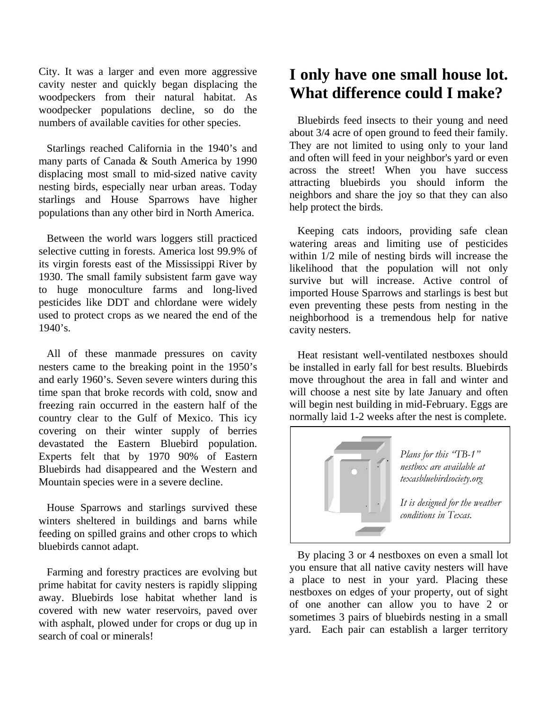City. It was a larger and even more aggressive woodpeckers from their natural habitat. As woodpecker populations decline, so do the woodpecker populations decline, so do the numbers of available cavities for other species.

Starlings reached California in the 1940's and<br>many parts of Canada & South America by 1990 displacing most small to mid-sized native cavity nesting birds, especially near urban areas. Today starlings and House Sparrows have higher startings and House Sparrows have higher populations than any other bird in North America.

Between the world wars loggers still practiced<br>selective cutting in forests. America lost 99.9% of its virgin forests east of the Mississippi River by 1930. The small family subsistent farm gave way to huge monoculture farms and long-lived pesticides like DDT and chlordane were widely pesticides like DDT and chlordane were widely used to protect crops as we neared the end of the  $1940's.$ 

All of these manmade pressures on cavity nesters came to the breaking point in the 1950's and early 1960's. Seven severe winters during this time span that broke records with cold, snow and freezing rain occurred in the eastern half of the country clear to the Gulf of Mexico. This icy covering on their winter supply of berries devastated the Eastern Bluebird population. Experts felt that by 1970 90% of Eastern Bluebirds had disappeared and the Western and Bluebirds had disappeared and the Western and Mountain species were in a severe decline.

House Sparrows and starlings survived these winters sheltered in buildings and barns while winters sheltered in buildings and barns while feeding on spilled grains and other crops to which bluebirds cannot adapt.

Farming and forestry practices are evolving but<br>prime habitat for cavity nesters is rapidly slipping away. Bluebirds lose habitat whether land is covered with new water reservoirs, paved over covered with new water reservoirs, paved over with asphalt, plowed under for crops or dug up in search of coal or minerals!

# **I only have one small house lot. What difference could I make?**

Bluebirds feed insects to their young and need about  $3/4$  acre of open ground to feed their family. They are not limited to using only to your land They are not limited to using only to your land and often will feed in your neighbor's yard or even<br>example the streamly Whan you have successed across the street! When you have success attracting bluebirds you should inform the attracting bluebirds you should inform the neighbors and share the joy so that they can also help protect the birds.

Keeping cats indoors, providing safe clean<br>watering areas and limiting use of pesticides within  $\overline{1}/2$  mile of nesting birds will increase the likelihood that the population will not only survive but will increase. Active control of imported House Sparrows and starlings is best but even preventing these pests from nesting in the even preventing these pests from nesting in the neighborhood is a tremendous help for native cavity nesters.

Heat resistant well-ventilated nestboxes should<br>be installed in early fall for best results. Bluebirds move throughout the area in fall and winter and will choose a nest site by late January and often will begin nest building in mid-February. Eggs are will begin nest building in mid-February. Eggs are normally laid 1-2 weeks after the nest is complete.



*Plans for this "TB-1" nestbox are available at texasbluebirdsociety.org*

*It is designed for the weather conditions in Texas.*

By placing 3 or 4 nestboxes on even a small lot you ensure that all native cavity nesters will have a place to nest in your yard. Placing these nestboxes on edges of your property, out of sight of one another can allow you to have  $2$  or sometimes 3 pairs of bluebirds nesting in a small sometimes 3 pairs of bluebirds nesting in a small yard. Each pair can establish a larger territory